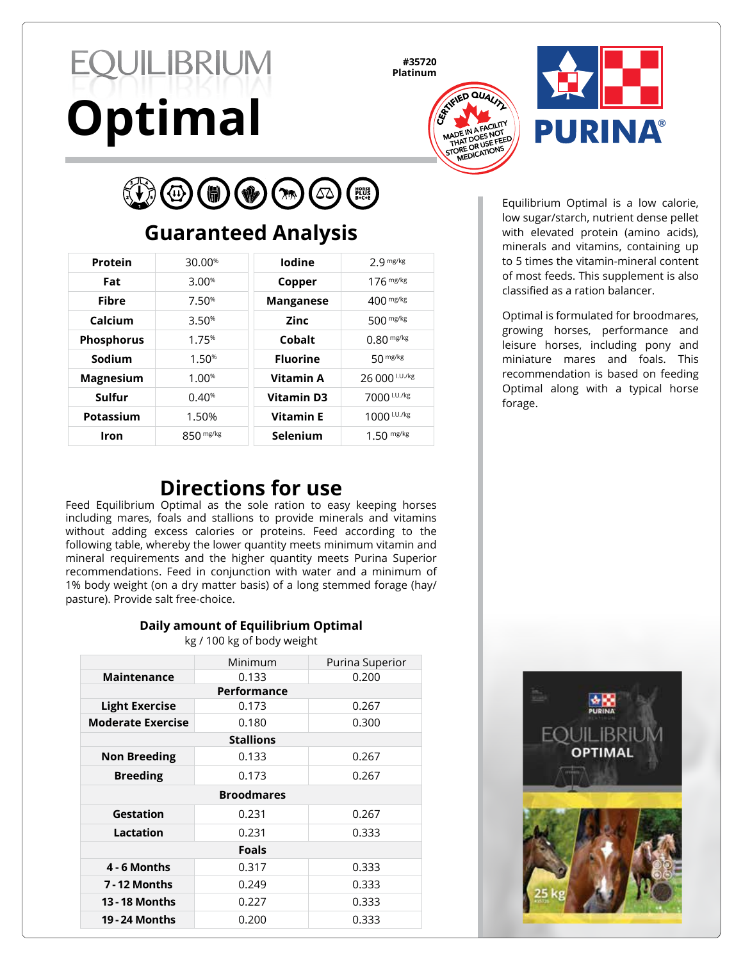# QUILIBRIUM **Optimal**

**#35720**





#### $R$ HORSE<br>PLUS<br>B+C+E 6  $(\Delta \Delta)$

# **Guaranteed Analysis**

| Protein           | 30.00%      | lodine            | 2 g mg/kg      |
|-------------------|-------------|-------------------|----------------|
| Fat               | 3.00%       | Copper            | $176$ mg/kg    |
| Fibre             | 7.50%       | <b>Manganese</b>  | $400$ mg/kg    |
| Calcium           | 3.50%       | Zinc              | $500$ mg/kg    |
| <b>Phosphorus</b> | 1.75%       | Cobalt            | $0.80$ mg/kg   |
| Sodium            | 1.50%       | <b>Fluorine</b>   | 50 mg/kg       |
| <b>Magnesium</b>  | 1.00%       | <b>Vitamin A</b>  | 26 000 I.U./kg |
| Sulfur            | 0.40%       | <b>Vitamin D3</b> | 7000 I.U./kg   |
| Potassium         | 1.50%       | <b>Vitamin E</b>  | 1000 I.U./kg   |
| Iron              | $850$ mg/kg | Selenium          | $1.50$ mg/kg   |

Equilibrium Optimal is a low calorie, low sugar/starch, nutrient dense pellet with elevated protein (amino acids), minerals and vitamins, containing up to 5 times the vitamin-mineral content of most feeds. This supplement is also classified as a ration balancer.

Optimal is formulated for broodmares, growing horses, performance and leisure horses, including pony and miniature mares and foals. This recommendation is based on feeding Optimal along with a typical horse forage.

## **Directions for use**

Feed Equilibrium Optimal as the sole ration to easy keeping horses including mares, foals and stallions to provide minerals and vitamins without adding excess calories or proteins. Feed according to the following table, whereby the lower quantity meets minimum vitamin and mineral requirements and the higher quantity meets Purina Superior recommendations. Feed in conjunction with water and a minimum of 1% body weight (on a dry matter basis) of a long stemmed forage (hay/ pasture). Provide salt free-choice.

## **Daily amount of Equilibrium Optimal**

kg / 100 kg of body weight

|                          | Minimum | Purina Superior |  |  |
|--------------------------|---------|-----------------|--|--|
| <b>Maintenance</b>       | 0.133   | 0.200           |  |  |
| Performance              |         |                 |  |  |
| <b>Light Exercise</b>    | 0.173   | 0.267           |  |  |
| <b>Moderate Exercise</b> | 0.180   | 0.300           |  |  |
| <b>Stallions</b>         |         |                 |  |  |
| <b>Non Breeding</b>      | 0.133   | 0.267           |  |  |
| <b>Breeding</b>          | 0.173   | 0.267           |  |  |
| <b>Broodmares</b>        |         |                 |  |  |
| Gestation                | 0.231   | 0.267           |  |  |
| Lactation                | 0.231   | 0.333           |  |  |
| <b>Foals</b>             |         |                 |  |  |
| 4 - 6 Months             | 0.317   | 0.333           |  |  |
| 7 - 12 Months            | 0.249   | 0.333           |  |  |
| <b>13 - 18 Months</b>    | 0.227   | 0.333           |  |  |
| <b>19 - 24 Months</b>    | 0.200   | 0.333           |  |  |